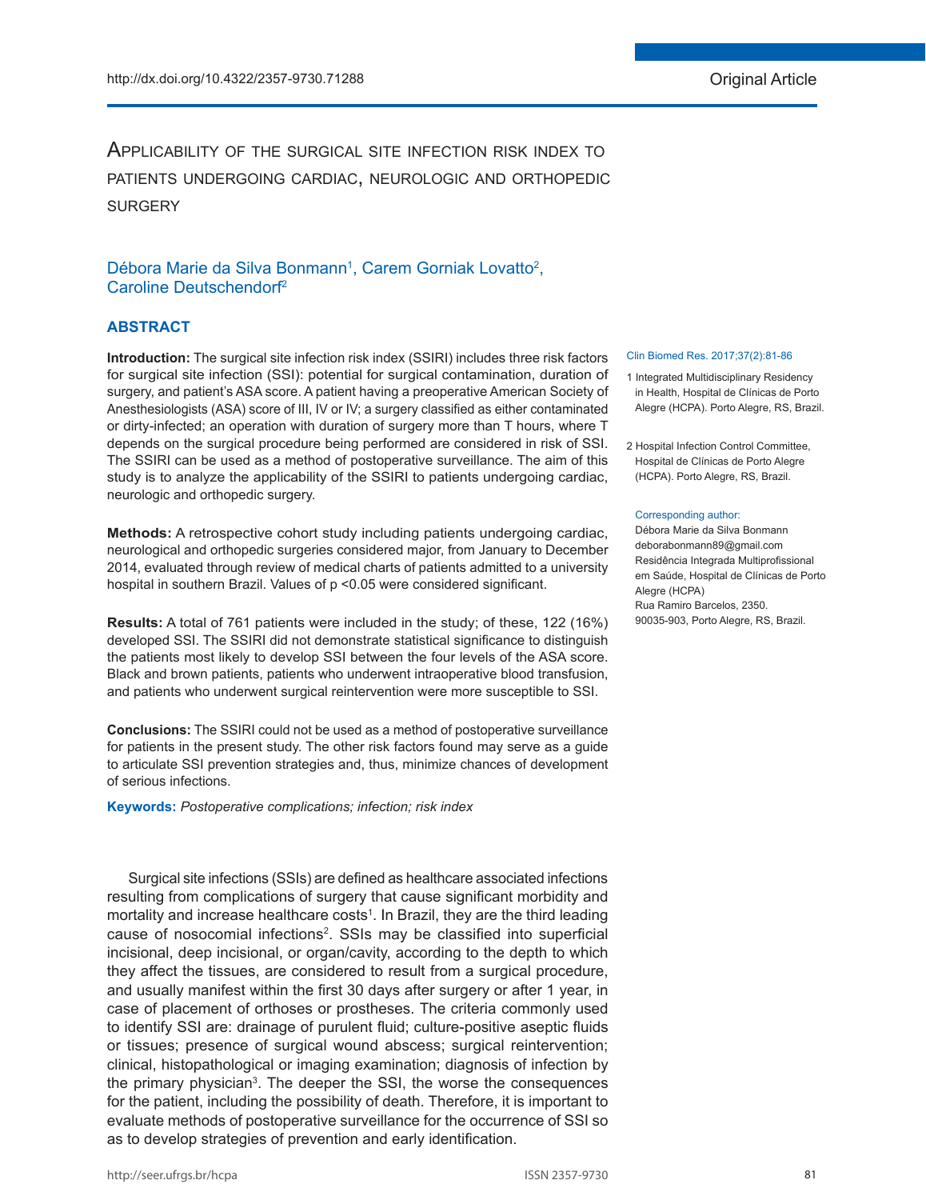# Applicability of the surgical site infection risk index to patients undergoing cardiac, neurologic and orthopedic **SURGERY**

# Débora Marie da Silva Bonmann<sup>1</sup>, Carem Gorniak Lovatto<sup>2</sup>, Caroline Deutschendorf2

# **ABSTRACT**

**Introduction:** The surgical site infection risk index (SSIRI) includes three risk factors for surgical site infection (SSI): potential for surgical contamination, duration of surgery, and patient's ASA score. A patient having a preoperative American Society of Anesthesiologists (ASA) score of III, IV or IV; a surgery classified as either contaminated or dirty-infected; an operation with duration of surgery more than T hours, where T depends on the surgical procedure being performed are considered in risk of SSI. The SSIRI can be used as a method of postoperative surveillance. The aim of this study is to analyze the applicability of the SSIRI to patients undergoing cardiac, neurologic and orthopedic surgery.

**Methods:** A retrospective cohort study including patients undergoing cardiac, neurological and orthopedic surgeries considered major, from January to December 2014, evaluated through review of medical charts of patients admitted to a university hospital in southern Brazil. Values of p <0.05 were considered significant.

**Results:** A total of 761 patients were included in the study; of these, 122 (16%) developed SSI. The SSIRI did not demonstrate statistical significance to distinguish the patients most likely to develop SSI between the four levels of the ASA score. Black and brown patients, patients who underwent intraoperative blood transfusion, and patients who underwent surgical reintervention were more susceptible to SSI.

**Conclusions:** The SSIRI could not be used as a method of postoperative surveillance for patients in the present study. The other risk factors found may serve as a guide to articulate SSI prevention strategies and, thus, minimize chances of development of serious infections.

**Keywords:** *Postoperative complications; infection; risk index*

Surgical site infections (SSIs) are defined as healthcare associated infections resulting from complications of surgery that cause significant morbidity and mortality and increase healthcare costs<sup>1</sup>. In Brazil, they are the third leading cause of nosocomial infections<sup>2</sup>. SSIs may be classified into superficial incisional, deep incisional, or organ/cavity, according to the depth to which they affect the tissues, are considered to result from a surgical procedure, and usually manifest within the first 30 days after surgery or after 1 year, in case of placement of orthoses or prostheses. The criteria commonly used to identify SSI are: drainage of purulent fluid; culture-positive aseptic fluids or tissues; presence of surgical wound abscess; surgical reintervention; clinical, histopathological or imaging examination; diagnosis of infection by the primary physician<sup>3</sup>. The deeper the SSI, the worse the consequences for the patient, including the possibility of death. Therefore, it is important to evaluate methods of postoperative surveillance for the occurrence of SSI so as to develop strategies of prevention and early identification.

#### Clin Biomed Res. 2017;37(2):81-86

- 1 Integrated Multidisciplinary Residency in Health, Hospital de Clínicas de Porto Alegre (HCPA). Porto Alegre, RS, Brazil.
- 2 Hospital Infection Control Committee, Hospital de Clínicas de Porto Alegre (HCPA). Porto Alegre, RS, Brazil.

#### Corresponding author:

Débora Marie da Silva Bonmann deborabonmann89@gmail.com Residência Integrada Multiprofissional em Saúde, Hospital de Clínicas de Porto Alegre (HCPA) Rua Ramiro Barcelos, 2350. 90035-903, Porto Alegre, RS, Brazil.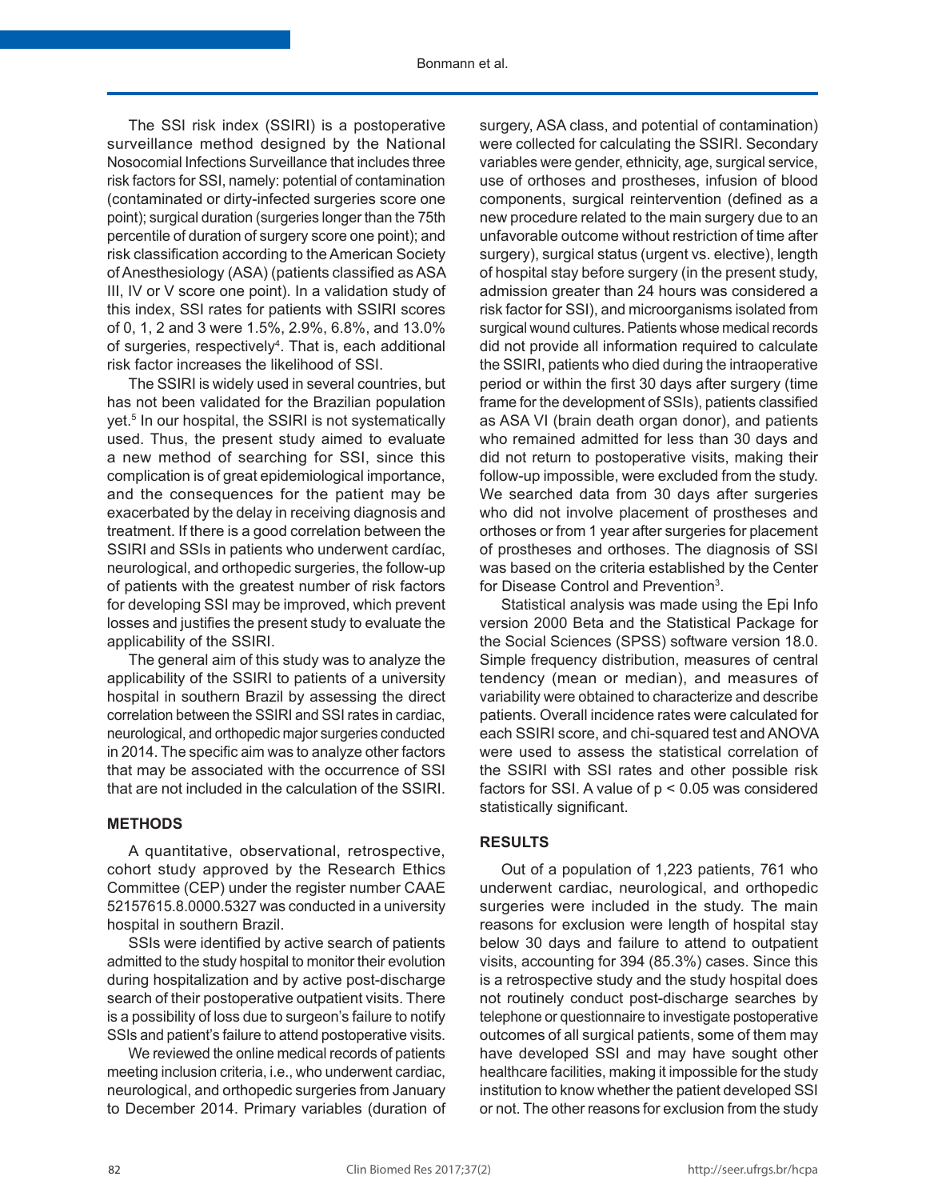The SSI risk index (SSIRI) is a postoperative surveillance method designed by the National Nosocomial Infections Surveillance that includes three risk factors for SSI, namely: potential of contamination (contaminated or dirty-infected surgeries score one point); surgical duration (surgeries longer than the 75th percentile of duration of surgery score one point); and risk classification according to the American Society of Anesthesiology (ASA) (patients classified as ASA III, IV or V score one point). In a validation study of this index, SSI rates for patients with SSIRI scores of 0, 1, 2 and 3 were 1.5%, 2.9%, 6.8%, and 13.0% of surgeries, respectively<sup>4</sup>. That is, each additional risk factor increases the likelihood of SSI.

The SSIRI is widely used in several countries, but has not been validated for the Brazilian population yet.<sup>5</sup> In our hospital, the SSIRI is not systematically used. Thus, the present study aimed to evaluate a new method of searching for SSI, since this complication is of great epidemiological importance, and the consequences for the patient may be exacerbated by the delay in receiving diagnosis and treatment. If there is a good correlation between the SSIRI and SSIs in patients who underwent cardíac, neurological, and orthopedic surgeries, the follow-up of patients with the greatest number of risk factors for developing SSI may be improved, which prevent losses and justifies the present study to evaluate the applicability of the SSIRI.

The general aim of this study was to analyze the applicability of the SSIRI to patients of a university hospital in southern Brazil by assessing the direct correlation between the SSIRI and SSI rates in cardiac, neurological, and orthopedic major surgeries conducted in 2014. The specific aim was to analyze other factors that may be associated with the occurrence of SSI that are not included in the calculation of the SSIRI.

### **METHODS**

A quantitative, observational, retrospective, cohort study approved by the Research Ethics Committee (CEP) under the register number CAAE 52157615.8.0000.5327 was conducted in a university hospital in southern Brazil.

SSIs were identified by active search of patients admitted to the study hospital to monitor their evolution during hospitalization and by active post-discharge search of their postoperative outpatient visits. There is a possibility of loss due to surgeon's failure to notify SSIs and patient's failure to attend postoperative visits.

We reviewed the online medical records of patients meeting inclusion criteria, i.e., who underwent cardiac, neurological, and orthopedic surgeries from January to December 2014. Primary variables (duration of

surgery, ASA class, and potential of contamination) were collected for calculating the SSIRI. Secondary variables were gender, ethnicity, age, surgical service, use of orthoses and prostheses, infusion of blood components, surgical reintervention (defined as a new procedure related to the main surgery due to an unfavorable outcome without restriction of time after surgery), surgical status (urgent vs. elective), length of hospital stay before surgery (in the present study, admission greater than 24 hours was considered a risk factor for SSI), and microorganisms isolated from surgical wound cultures. Patients whose medical records did not provide all information required to calculate the SSIRI, patients who died during the intraoperative period or within the first 30 days after surgery (time frame for the development of SSIs), patients classified as ASA VI (brain death organ donor), and patients who remained admitted for less than 30 days and did not return to postoperative visits, making their follow-up impossible, were excluded from the study. We searched data from 30 days after surgeries who did not involve placement of prostheses and orthoses or from 1 year after surgeries for placement of prostheses and orthoses. The diagnosis of SSI was based on the criteria established by the Center for Disease Control and Prevention<sup>3</sup>.

Statistical analysis was made using the Epi Info version 2000 Beta and the Statistical Package for the Social Sciences (SPSS) software version 18.0. Simple frequency distribution, measures of central tendency (mean or median), and measures of variability were obtained to characterize and describe patients. Overall incidence rates were calculated for each SSIRI score, and chi-squared test and ANOVA were used to assess the statistical correlation of the SSIRI with SSI rates and other possible risk factors for SSI. A value of p < 0.05 was considered statistically significant.

# **RESULTS**

Out of a population of 1,223 patients, 761 who underwent cardiac, neurological, and orthopedic surgeries were included in the study. The main reasons for exclusion were length of hospital stay below 30 days and failure to attend to outpatient visits, accounting for 394 (85.3%) cases. Since this is a retrospective study and the study hospital does not routinely conduct post-discharge searches by telephone or questionnaire to investigate postoperative outcomes of all surgical patients, some of them may have developed SSI and may have sought other healthcare facilities, making it impossible for the study institution to know whether the patient developed SSI or not. The other reasons for exclusion from the study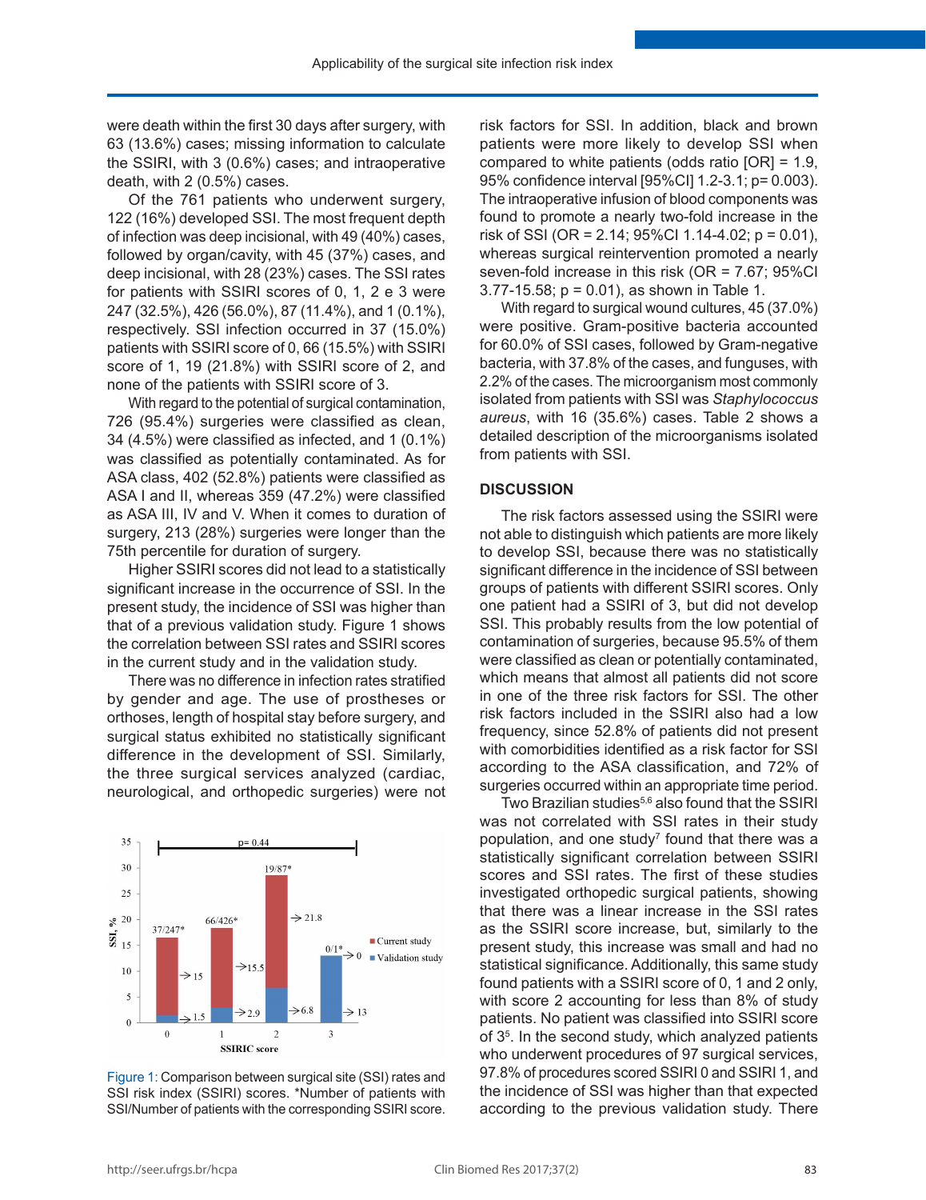were death within the first 30 days after surgery, with 63 (13.6%) cases; missing information to calculate the SSIRI, with 3 (0.6%) cases; and intraoperative death, with 2 (0.5%) cases.

Of the 761 patients who underwent surgery, 122 (16%) developed SSI. The most frequent depth of infection was deep incisional, with 49 (40%) cases, followed by organ/cavity, with 45 (37%) cases, and deep incisional, with 28 (23%) cases. The SSI rates for patients with SSIRI scores of 0, 1, 2 e 3 were 247 (32.5%), 426 (56.0%), 87 (11.4%), and 1 (0.1%), respectively. SSI infection occurred in 37 (15.0%) patients with SSIRI score of 0, 66 (15.5%) with SSIRI score of 1, 19 (21.8%) with SSIRI score of 2, and none of the patients with SSIRI score of 3.

With regard to the potential of surgical contamination, 726 (95.4%) surgeries were classified as clean, 34 (4.5%) were classified as infected, and 1 (0.1%) was classified as potentially contaminated. As for ASA class, 402 (52.8%) patients were classified as ASA I and II, whereas 359 (47.2%) were classified as ASA III, IV and V. When it comes to duration of surgery, 213 (28%) surgeries were longer than the 75th percentile for duration of surgery.

Higher SSIRI scores did not lead to a statistically significant increase in the occurrence of SSI. In the present study, the incidence of SSI was higher than that of a previous validation study. Figure 1 shows the correlation between SSI rates and SSIRI scores in the current study and in the validation study.

There was no difference in infection rates stratified by gender and age. The use of prostheses or orthoses, length of hospital stay before surgery, and surgical status exhibited no statistically significant difference in the development of SSI. Similarly, the three surgical services analyzed (cardiac, neurological, and orthopedic surgeries) were not



Figure 1: Comparison between surgical site (SSI) rates and SSI risk index (SSIRI) scores. \*Number of patients with SSI/Number of patients with the corresponding SSIRI score.

risk factors for SSI. In addition, black and brown patients were more likely to develop SSI when compared to white patients (odds ratio [OR] = 1.9, 95% confidence interval [95%CI] 1.2-3.1; p= 0.003). The intraoperative infusion of blood components was found to promote a nearly two-fold increase in the risk of SSI (OR = 2.14;  $95\%$ CI 1.14-4.02; p = 0.01), whereas surgical reintervention promoted a nearly seven-fold increase in this risk (OR = 7.67; 95%CI 3.77-15.58; p = 0.01), as shown in Table 1.

With regard to surgical wound cultures, 45 (37.0%) were positive. Gram-positive bacteria accounted for 60.0% of SSI cases, followed by Gram-negative bacteria, with 37.8% of the cases, and funguses, with 2.2% of the cases. The microorganism most commonly isolated from patients with SSI was *Staphylococcus aureus*, with 16 (35.6%) cases. Table 2 shows a detailed description of the microorganisms isolated from patients with SSI.

## **DISCUSSION**

The risk factors assessed using the SSIRI were not able to distinguish which patients are more likely to develop SSI, because there was no statistically significant difference in the incidence of SSI between groups of patients with different SSIRI scores. Only one patient had a SSIRI of 3, but did not develop SSI. This probably results from the low potential of contamination of surgeries, because 95.5% of them were classified as clean or potentially contaminated, which means that almost all patients did not score in one of the three risk factors for SSI. The other risk factors included in the SSIRI also had a low frequency, since 52.8% of patients did not present with comorbidities identified as a risk factor for SSI according to the ASA classification, and 72% of surgeries occurred within an appropriate time period.

Two Brazilian studies<sup>5,6</sup> also found that the SSIRI was not correlated with SSI rates in their study population, and one study<sup>7</sup> found that there was a statistically significant correlation between SSIRI scores and SSI rates. The first of these studies investigated orthopedic surgical patients, showing that there was a linear increase in the SSI rates as the SSIRI score increase, but, similarly to the present study, this increase was small and had no statistical significance. Additionally, this same study found patients with a SSIRI score of 0, 1 and 2 only, with score 2 accounting for less than 8% of study patients. No patient was classified into SSIRI score of 35 . In the second study, which analyzed patients who underwent procedures of 97 surgical services, 97.8% of procedures scored SSIRI 0 and SSIRI 1, and the incidence of SSI was higher than that expected according to the previous validation study. There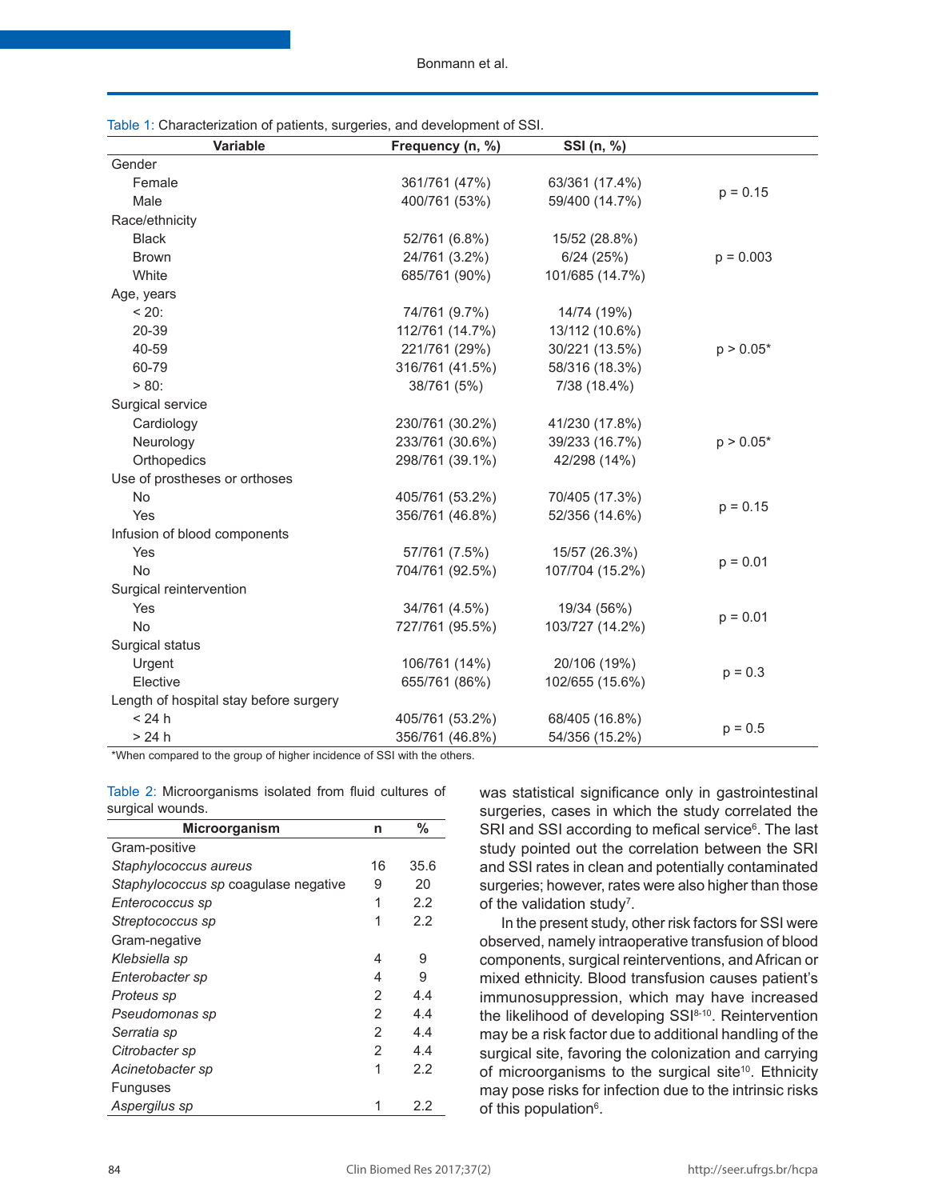Bonmann et al.

| Table 1: Characterization of patients, surgeries, and development of SSI. |                  |                 |             |  |  |  |  |
|---------------------------------------------------------------------------|------------------|-----------------|-------------|--|--|--|--|
| Variable                                                                  | Frequency (n, %) | SSI (n, %)      |             |  |  |  |  |
| Gender                                                                    |                  |                 |             |  |  |  |  |
| Female                                                                    | 361/761 (47%)    | 63/361 (17.4%)  | $p = 0.15$  |  |  |  |  |
| Male                                                                      | 400/761 (53%)    | 59/400 (14.7%)  |             |  |  |  |  |
| Race/ethnicity                                                            |                  |                 |             |  |  |  |  |
| <b>Black</b>                                                              | 52/761 (6.8%)    | 15/52 (28.8%)   |             |  |  |  |  |
| <b>Brown</b>                                                              | 24/761 (3.2%)    | 6/24(25%)       | $p = 0.003$ |  |  |  |  |
| White                                                                     | 685/761 (90%)    | 101/685 (14.7%) |             |  |  |  |  |
| Age, years                                                                |                  |                 |             |  |  |  |  |
| $< 20$ :                                                                  | 74/761 (9.7%)    | 14/74 (19%)     |             |  |  |  |  |
| 20-39                                                                     | 112/761 (14.7%)  | 13/112 (10.6%)  |             |  |  |  |  |
| 40-59                                                                     | 221/761 (29%)    | 30/221 (13.5%)  | $p > 0.05*$ |  |  |  |  |
| 60-79                                                                     | 316/761 (41.5%)  | 58/316 (18.3%)  |             |  |  |  |  |
| $> 80$ :                                                                  | 38/761 (5%)      | 7/38 (18.4%)    |             |  |  |  |  |
| Surgical service                                                          |                  |                 |             |  |  |  |  |
| Cardiology                                                                | 230/761 (30.2%)  | 41/230 (17.8%)  |             |  |  |  |  |
| Neurology                                                                 | 233/761 (30.6%)  | 39/233 (16.7%)  | $p > 0.05*$ |  |  |  |  |
| Orthopedics                                                               | 298/761 (39.1%)  | 42/298 (14%)    |             |  |  |  |  |
| Use of prostheses or orthoses                                             |                  |                 |             |  |  |  |  |
| No                                                                        | 405/761 (53.2%)  | 70/405 (17.3%)  | $p = 0.15$  |  |  |  |  |
| Yes                                                                       | 356/761 (46.8%)  | 52/356 (14.6%)  |             |  |  |  |  |
| Infusion of blood components                                              |                  |                 |             |  |  |  |  |
| Yes                                                                       | 57/761 (7.5%)    | 15/57 (26.3%)   | $p = 0.01$  |  |  |  |  |
| No                                                                        | 704/761 (92.5%)  | 107/704 (15.2%) |             |  |  |  |  |
| Surgical reintervention                                                   |                  |                 |             |  |  |  |  |
| Yes                                                                       | 34/761 (4.5%)    | 19/34 (56%)     | $p = 0.01$  |  |  |  |  |
| <b>No</b>                                                                 | 727/761 (95.5%)  | 103/727 (14.2%) |             |  |  |  |  |
| Surgical status                                                           |                  |                 |             |  |  |  |  |
| Urgent                                                                    | 106/761 (14%)    | 20/106 (19%)    | $p = 0.3$   |  |  |  |  |
| Elective                                                                  | 655/761 (86%)    | 102/655 (15.6%) |             |  |  |  |  |
| Length of hospital stay before surgery                                    |                  |                 |             |  |  |  |  |
| < 24 h                                                                    | 405/761 (53.2%)  | 68/405 (16.8%)  | $p = 0.5$   |  |  |  |  |
| >24 h                                                                     | 356/761 (46.8%)  | 54/356 (15.2%)  |             |  |  |  |  |

\*When compared to the group of higher incidence of SSI with the others.

| Table 2: Microorganisms isolated from fluid cultures of |  |  |  |
|---------------------------------------------------------|--|--|--|
| surgical wounds.                                        |  |  |  |

| <b>Microorganism</b>                 | n  | %    |
|--------------------------------------|----|------|
| Gram-positive                        |    |      |
| Staphylococcus aureus                | 16 | 35.6 |
| Staphylococcus sp coagulase negative | 9  | 20   |
| Enterococcus sp                      | 1  | 2.2  |
| Streptococcus sp                     | 1  | 2.2  |
| Gram-negative                        |    |      |
| Klebsiella sp                        | 4  | 9    |
| Enterobacter sp                      | 4  | 9    |
| Proteus sp                           | 2  | 4.4  |
| Pseudomonas sp                       | 2  | 4.4  |
| Serratia sp                          | 2  | 4.4  |
| Citrobacter sp                       | 2  | 4.4  |
| Acinetobacter sp                     | 1  | 2.2  |
| <b>Funguses</b>                      |    |      |
| Aspergilus sp                        |    | 2.2  |

was statistical significance only in gastrointestinal surgeries, cases in which the study correlated the SRI and SSI according to mefical service<sup>6</sup>. The last study pointed out the correlation between the SRI and SSI rates in clean and potentially contaminated surgeries; however, rates were also higher than those of the validation study<sup>7</sup>.

In the present study, other risk factors for SSI were observed, namely intraoperative transfusion of blood components, surgical reinterventions, and African or mixed ethnicity. Blood transfusion causes patient's immunosuppression, which may have increased the likelihood of developing SSI<sup>8-10</sup>. Reintervention may be a risk factor due to additional handling of the surgical site, favoring the colonization and carrying of microorganisms to the surgical site<sup>10</sup>. Ethnicity may pose risks for infection due to the intrinsic risks of this population<sup>6</sup>.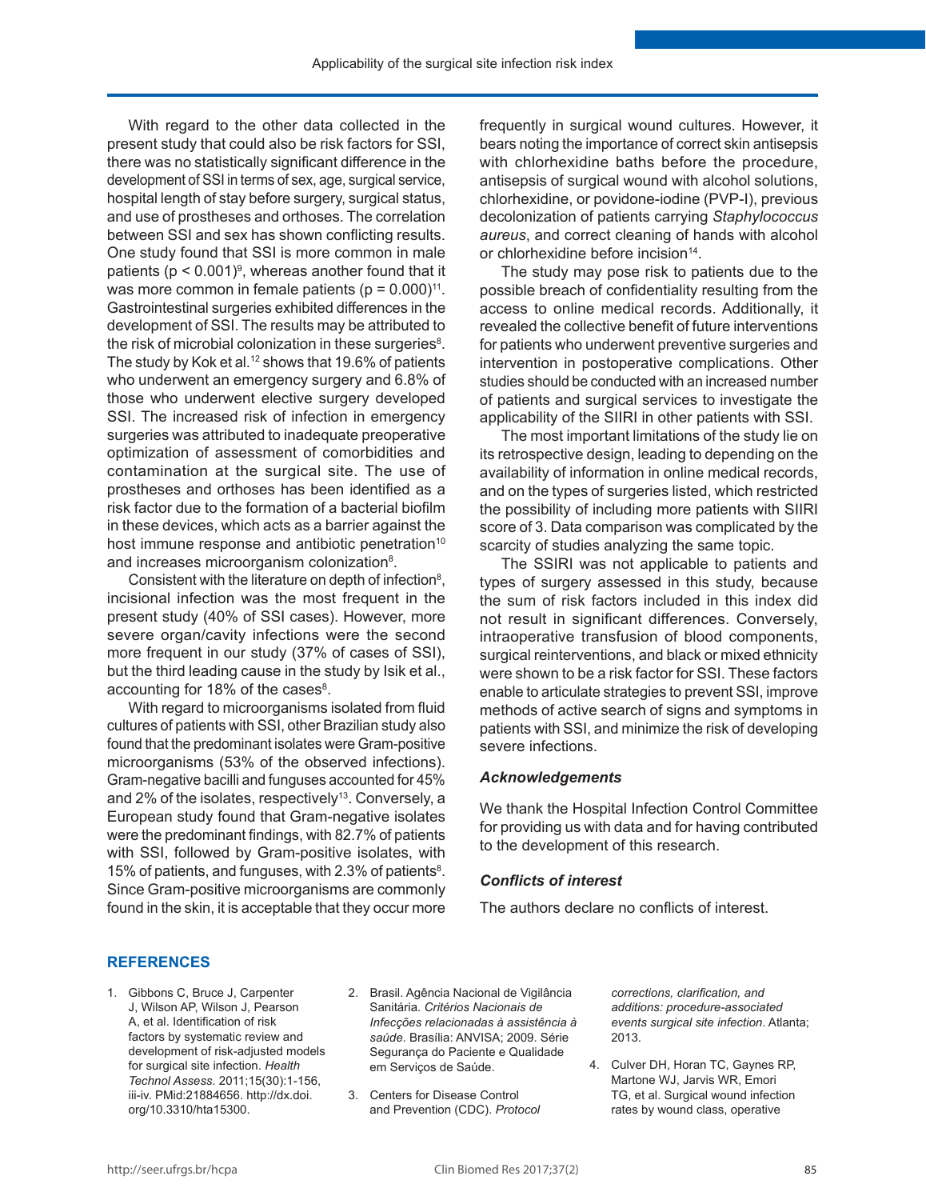With regard to the other data collected in the present study that could also be risk factors for SSI, there was no statistically significant difference in the development of SSI in terms of sex, age, surgical service, hospital length of stay before surgery, surgical status, and use of prostheses and orthoses. The correlation between SSI and sex has shown conflicting results. One study found that SSI is more common in male patients ( $p < 0.001$ )<sup>9</sup>, whereas another found that it was more common in female patients ( $p = 0.000$ )<sup>11</sup>. Gastrointestinal surgeries exhibited differences in the development of SSI. The results may be attributed to the risk of microbial colonization in these surgeries<sup>8</sup>. The study by Kok et al.<sup>12</sup> shows that 19.6% of patients who underwent an emergency surgery and 6.8% of those who underwent elective surgery developed SSI. The increased risk of infection in emergency surgeries was attributed to inadequate preoperative optimization of assessment of comorbidities and contamination at the surgical site. The use of prostheses and orthoses has been identified as a risk factor due to the formation of a bacterial biofilm in these devices, which acts as a barrier against the host immune response and antibiotic penetration<sup>10</sup> and increases microorganism colonization<sup>8</sup>.

Consistent with the literature on depth of infection $\delta$ , incisional infection was the most frequent in the present study (40% of SSI cases). However, more severe organ/cavity infections were the second more frequent in our study (37% of cases of SSI), but the third leading cause in the study by Isik et al., accounting for 18% of the cases $8$ .

With regard to microorganisms isolated from fluid cultures of patients with SSI, other Brazilian study also found that the predominant isolates were Gram-positive microorganisms (53% of the observed infections). Gram-negative bacilli and funguses accounted for 45% and 2% of the isolates, respectively<sup>13</sup>. Conversely, a European study found that Gram-negative isolates were the predominant findings, with 82.7% of patients with SSI, followed by Gram-positive isolates, with 15% of patients, and funguses, with 2.3% of patients<sup>8</sup>. Since Gram-positive microorganisms are commonly found in the skin, it is acceptable that they occur more

frequently in surgical wound cultures. However, it bears noting the importance of correct skin antisepsis with chlorhexidine baths before the procedure, antisepsis of surgical wound with alcohol solutions, chlorhexidine, or povidone-iodine (PVP-I), previous decolonization of patients carrying *Staphylococcus aureus*, and correct cleaning of hands with alcohol or chlorhexidine before incision<sup>14</sup>.

The study may pose risk to patients due to the possible breach of confidentiality resulting from the access to online medical records. Additionally, it revealed the collective benefit of future interventions for patients who underwent preventive surgeries and intervention in postoperative complications. Other studies should be conducted with an increased number of patients and surgical services to investigate the applicability of the SIIRI in other patients with SSI.

The most important limitations of the study lie on its retrospective design, leading to depending on the availability of information in online medical records, and on the types of surgeries listed, which restricted the possibility of including more patients with SIIRI score of 3. Data comparison was complicated by the scarcity of studies analyzing the same topic.

The SSIRI was not applicable to patients and types of surgery assessed in this study, because the sum of risk factors included in this index did not result in significant differences. Conversely, intraoperative transfusion of blood components, surgical reinterventions, and black or mixed ethnicity were shown to be a risk factor for SSI. These factors enable to articulate strategies to prevent SSI, improve methods of active search of signs and symptoms in patients with SSI, and minimize the risk of developing severe infections.

### *Acknowledgements*

We thank the Hospital Infection Control Committee for providing us with data and for having contributed to the development of this research.

### *Conflicts of interest*

The authors declare no conflicts of interest.

### **REFERENCES**

- 1. Gibbons C, Bruce J, Carpenter J, Wilson AP, Wilson J, Pearson A, et al. Identification of risk factors by systematic review and development of risk-adjusted models for surgical site infection. *Health Technol Assess*. 2011;15(30):1-156, iii-iv[. PMid:21884656.](http://www.ncbi.nlm.nih.gov/entrez/query.fcgi?cmd=Retrieve&db=PubMed&list_uids=21884656&dopt=Abstract) [http://dx.doi.](http://dx.doi.org/10.3310/hta15300) [org/10.3310/hta15300](http://dx.doi.org/10.3310/hta15300).
- 2. Brasil. Agência Nacional de Vigilância Sanitária. *Critérios Nacionais de Infecções relacionadas à assistência à saúde*. Brasília: ANVISA; 2009. Série Segurança do Paciente e Qualidade em Serviços de Saúde.
- 3. Centers for Disease Control and Prevention (CDC). *Protocol*

*corrections, clarification, and additions: procedure-associated events surgical site infection*. Atlanta; 2013.

4. Culver DH, Horan TC, Gaynes RP, Martone WJ, Jarvis WR, Emori TG, et al. Surgical wound infection rates by wound class, operative